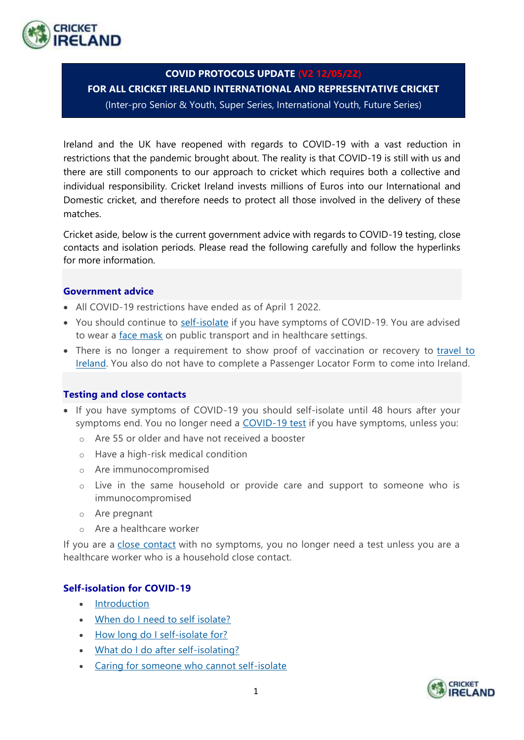

# **COVID PROTOCOLS UPDATE (V2 12/05/22)**

**FOR ALL CRICKET IRELAND INTERNATIONAL AND REPRESENTATIVE CRICKET**  (Inter-pro Senior & Youth, Super Series, International Youth, Future Series)

Ireland and the UK have reopened with regards to COVID-19 with a vast reduction in restrictions that the pandemic brought about. The reality is that COVID-19 is still with us and there are still components to our approach to cricket which requires both a collective and individual responsibility. Cricket Ireland invests millions of Euros into our International and Domestic cricket, and therefore needs to protect all those involved in the delivery of these matches.

Cricket aside, below is the current government advice with regards to COVID-19 testing, close contacts and isolation periods. Please read the following carefully and follow the hyperlinks for more information.

## **Government advice**

- All COVID-19 restrictions have ended as of April 1 2022.
- You should continue to self-isolate if you have symptoms of COVID-19. You are advised to wear a face mask on public transport and in healthcare settings.
- There is no longer a requirement to show proof of vaccination or recovery to travel to Ireland. You also do not have to complete a Passenger Locator Form to come into Ireland.

#### **Testing and close contacts**

- If you have symptoms of COVID-19 you should self-isolate until 48 hours after your symptoms end. You no longer need a COVID-19 test if you have symptoms, unless you:
	- o Are 55 or older and have not received a booster
	- o Have a high-risk medical condition
	- o Are immunocompromised
	- o Live in the same household or provide care and support to someone who is immunocompromised
	- o Are pregnant
	- o Are a healthcare worker

If you are a close contact with no symptoms, you no longer need a test unless you are a healthcare worker who is a household close contact.

## **Self-isolation for COVID-19**

- Introduction
- When do I need to self isolate?
- How long do I self-isolate for?
- What do I do after self-isolating?
- Caring for someone who cannot self-isolate

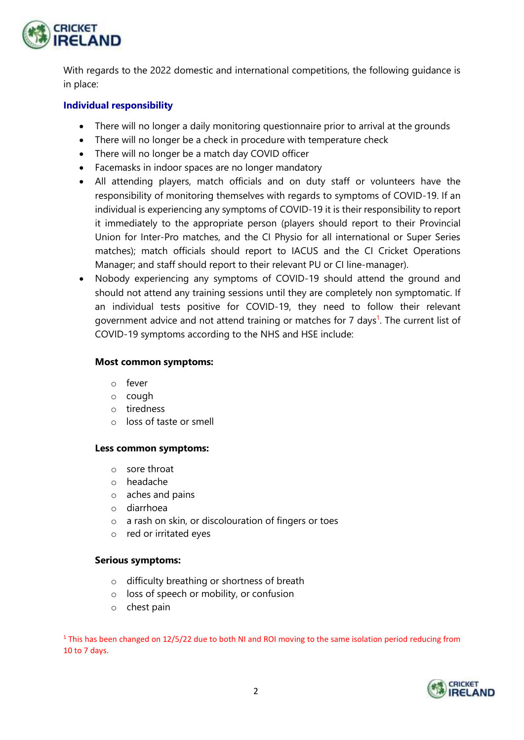

With regards to the 2022 domestic and international competitions, the following guidance is in place:

## **Individual responsibility**

- There will no longer a daily monitoring questionnaire prior to arrival at the grounds
- There will no longer be a check in procedure with temperature check
- There will no longer be a match day COVID officer
- Facemasks in indoor spaces are no longer mandatory
- All attending players, match officials and on duty staff or volunteers have the responsibility of monitoring themselves with regards to symptoms of COVID-19. If an individual is experiencing any symptoms of COVID-19 it is their responsibility to report it immediately to the appropriate person (players should report to their Provincial Union for Inter-Pro matches, and the CI Physio for all international or Super Series matches); match officials should report to IACUS and the CI Cricket Operations Manager; and staff should report to their relevant PU or CI line-manager).
- Nobody experiencing any symptoms of COVID-19 should attend the ground and should not attend any training sessions until they are completely non symptomatic. If an individual tests positive for COVID-19, they need to follow their relevant government advice and not attend training or matches for 7 days<sup>1</sup>. The current list of COVID-19 symptoms according to the NHS and HSE include:

#### **Most common symptoms:**

- o fever
- o cough
- o tiredness
- o loss of taste or smell

#### **Less common symptoms:**

- o sore throat
- o headache
- o aches and pains
- o diarrhoea
- o a rash on skin, or discolouration of fingers or toes
- o red or irritated eyes

#### **Serious symptoms:**

- o difficulty breathing or shortness of breath
- o loss of speech or mobility, or confusion
- o chest pain

<sup>1</sup> This has been changed on 12/5/22 due to both NI and ROI moving to the same isolation period reducing from 10 to 7 days.